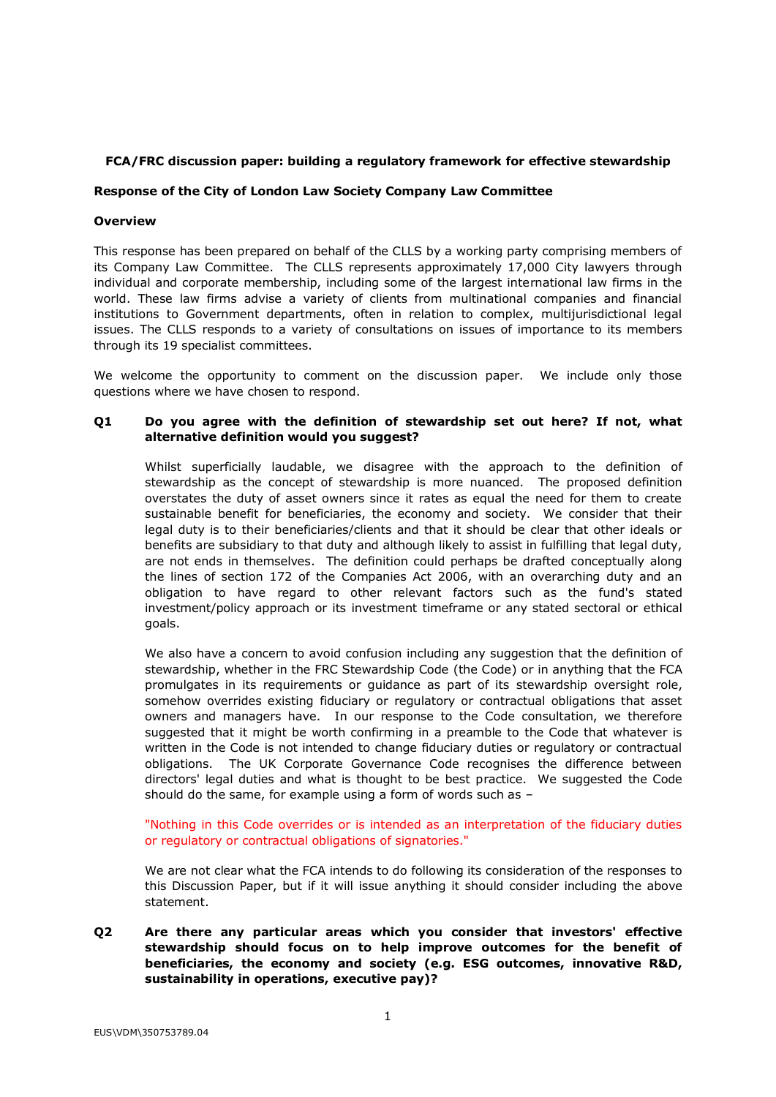## **FCA/FRC discussion paper: building a regulatory framework for effective stewardship**

## **Response of the City of London Law Society Company Law Committee**

## **Overview**

This response has been prepared on behalf of the CLLS by a working party comprising members of its Company Law Committee. The CLLS represents approximately 17,000 City lawyers through individual and corporate membership, including some of the largest international law firms in the world. These law firms advise a variety of clients from multinational companies and financial institutions to Government departments, often in relation to complex, multijurisdictional legal issues. The CLLS responds to a variety of consultations on issues of importance to its members through its 19 specialist committees.

We welcome the opportunity to comment on the discussion paper. We include only those questions where we have chosen to respond.

# **Q1 Do you agree with the definition of stewardship set out here? If not, what alternative definition would you suggest?**

Whilst superficially laudable, we disagree with the approach to the definition of stewardship as the concept of stewardship is more nuanced. The proposed definition overstates the duty of asset owners since it rates as equal the need for them to create sustainable benefit for beneficiaries, the economy and society. We consider that their legal duty is to their beneficiaries/clients and that it should be clear that other ideals or benefits are subsidiary to that duty and although likely to assist in fulfilling that legal duty, are not ends in themselves. The definition could perhaps be drafted conceptually along the lines of section 172 of the Companies Act 2006, with an overarching duty and an obligation to have regard to other relevant factors such as the fund's stated investment/policy approach or its investment timeframe or any stated sectoral or ethical goals.

We also have a concern to avoid confusion including any suggestion that the definition of stewardship, whether in the FRC Stewardship Code (the Code) or in anything that the FCA promulgates in its requirements or guidance as part of its stewardship oversight role, somehow overrides existing fiduciary or regulatory or contractual obligations that asset owners and managers have. In our response to the Code consultation, we therefore suggested that it might be worth confirming in a preamble to the Code that whatever is written in the Code is not intended to change fiduciary duties or regulatory or contractual obligations. The UK Corporate Governance Code recognises the difference between directors' legal duties and what is thought to be best practice. We suggested the Code should do the same, for example using a form of words such as –

"Nothing in this Code overrides or is intended as an interpretation of the fiduciary duties or regulatory or contractual obligations of signatories."

We are not clear what the FCA intends to do following its consideration of the responses to this Discussion Paper, but if it will issue anything it should consider including the above statement.

**Q2 Are there any particular areas which you consider that investors' effective stewardship should focus on to help improve outcomes for the benefit of beneficiaries, the economy and society (e.g. ESG outcomes, innovative R&D, sustainability in operations, executive pay)?**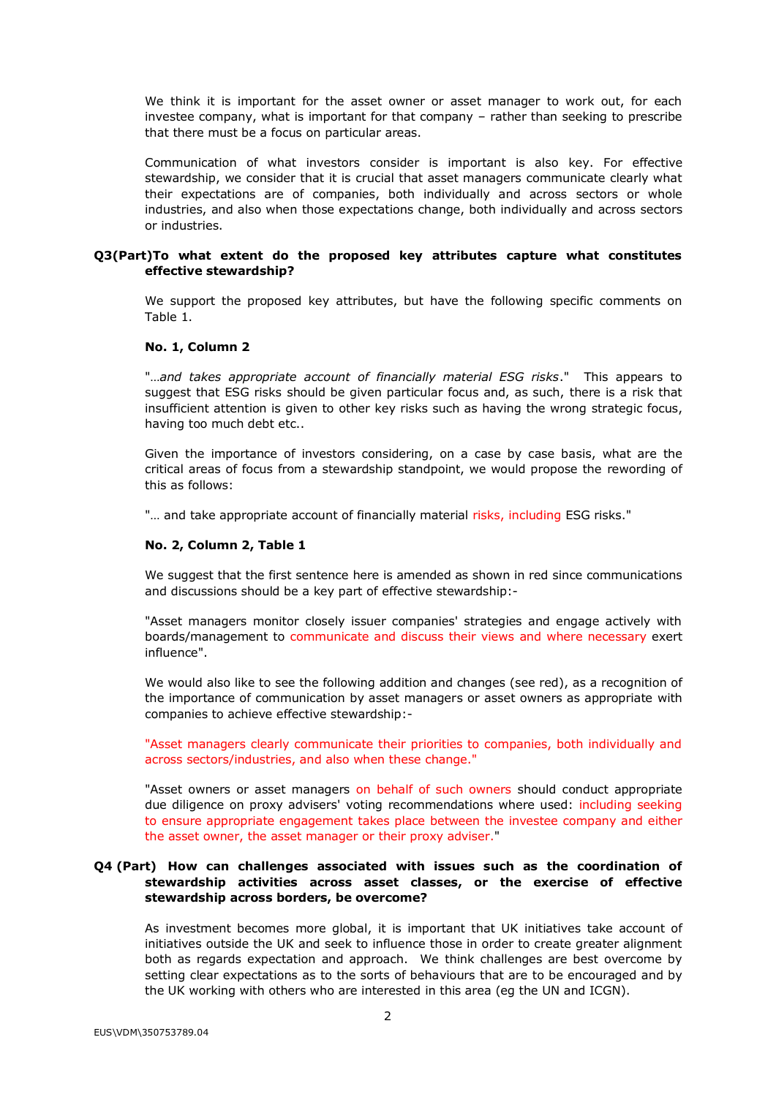We think it is important for the asset owner or asset manager to work out, for each investee company, what is important for that company – rather than seeking to prescribe that there must be a focus on particular areas.

Communication of what investors consider is important is also key. For effective stewardship, we consider that it is crucial that asset managers communicate clearly what their expectations are of companies, both individually and across sectors or whole industries, and also when those expectations change, both individually and across sectors or industries.

### **Q3(Part)To what extent do the proposed key attributes capture what constitutes effective stewardship?**

We support the proposed key attributes, but have the following specific comments on Table 1.

#### **No. 1, Column 2**

"…*and takes appropriate account of financially material ESG risks*." This appears to suggest that ESG risks should be given particular focus and, as such, there is a risk that insufficient attention is given to other key risks such as having the wrong strategic focus, having too much debt etc..

Given the importance of investors considering, on a case by case basis, what are the critical areas of focus from a stewardship standpoint, we would propose the rewording of this as follows:

"... and take appropriate account of financially material risks, including ESG risks."

#### **No. 2, Column 2, Table 1**

We suggest that the first sentence here is amended as shown in red since communications and discussions should be a key part of effective stewardship:-

"Asset managers monitor closely issuer companies' strategies and engage actively with boards/management to communicate and discuss their views and where necessary exert influence".

We would also like to see the following addition and changes (see red), as a recognition of the importance of communication by asset managers or asset owners as appropriate with companies to achieve effective stewardship:-

"Asset managers clearly communicate their priorities to companies, both individually and across sectors/industries, and also when these change."

"Asset owners or asset managers on behalf of such owners should conduct appropriate due diligence on proxy advisers' voting recommendations where used: including seeking to ensure appropriate engagement takes place between the investee company and either the asset owner, the asset manager or their proxy adviser."

## **Q4 (Part) How can challenges associated with issues such as the coordination of stewardship activities across asset classes, or the exercise of effective stewardship across borders, be overcome?**

As investment becomes more global, it is important that UK initiatives take account of initiatives outside the UK and seek to influence those in order to create greater alignment both as regards expectation and approach. We think challenges are best overcome by setting clear expectations as to the sorts of behaviours that are to be encouraged and by the UK working with others who are interested in this area (eg the UN and ICGN).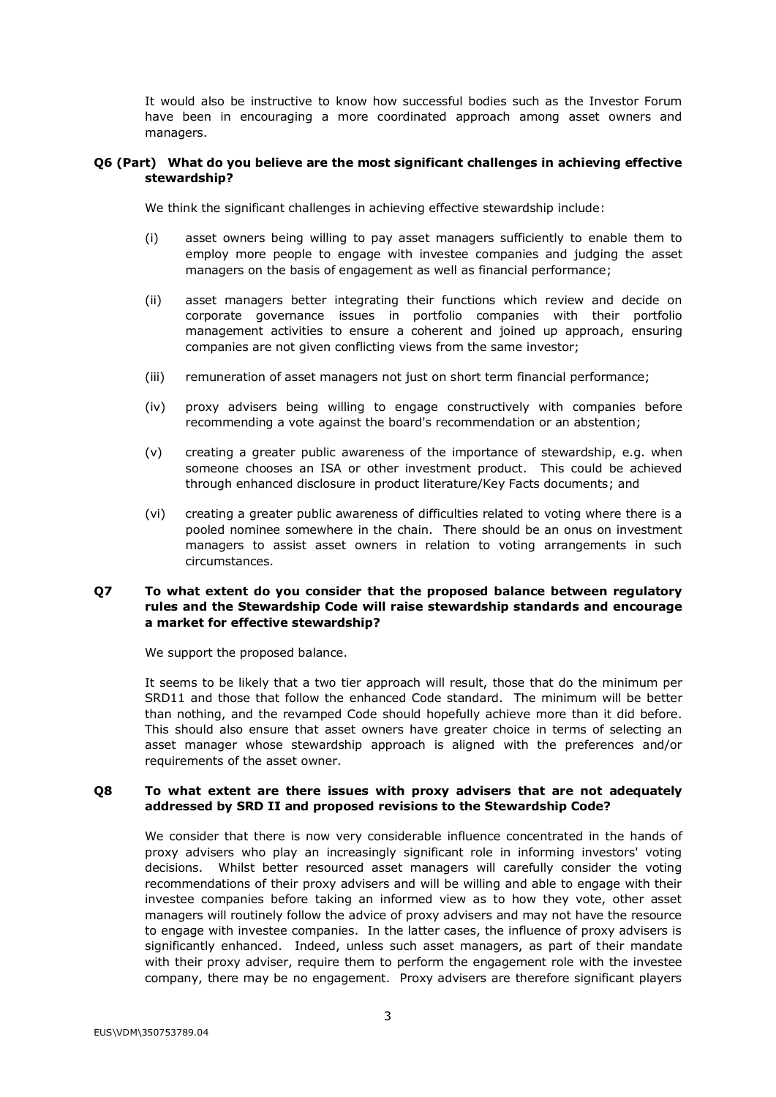It would also be instructive to know how successful bodies such as the Investor Forum have been in encouraging a more coordinated approach among asset owners and managers.

## **Q6 (Part) What do you believe are the most significant challenges in achieving effective stewardship?**

We think the significant challenges in achieving effective stewardship include:

- (i) asset owners being willing to pay asset managers sufficiently to enable them to employ more people to engage with investee companies and judging the asset managers on the basis of engagement as well as financial performance;
- (ii) asset managers better integrating their functions which review and decide on corporate governance issues in portfolio companies with their portfolio management activities to ensure a coherent and joined up approach, ensuring companies are not given conflicting views from the same investor;
- (iii) remuneration of asset managers not just on short term financial performance;
- (iv) proxy advisers being willing to engage constructively with companies before recommending a vote against the board's recommendation or an abstention;
- (v) creating a greater public awareness of the importance of stewardship, e.g. when someone chooses an ISA or other investment product. This could be achieved through enhanced disclosure in product literature/Key Facts documents; and
- (vi) creating a greater public awareness of difficulties related to voting where there is a pooled nominee somewhere in the chain. There should be an onus on investment managers to assist asset owners in relation to voting arrangements in such circumstances.

# **Q7 To what extent do you consider that the proposed balance between regulatory rules and the Stewardship Code will raise stewardship standards and encourage a market for effective stewardship?**

We support the proposed balance.

It seems to be likely that a two tier approach will result, those that do the minimum per SRD11 and those that follow the enhanced Code standard. The minimum will be better than nothing, and the revamped Code should hopefully achieve more than it did before. This should also ensure that asset owners have greater choice in terms of selecting an asset manager whose stewardship approach is aligned with the preferences and/or requirements of the asset owner.

## **Q8 To what extent are there issues with proxy advisers that are not adequately addressed by SRD II and proposed revisions to the Stewardship Code?**

We consider that there is now very considerable influence concentrated in the hands of proxy advisers who play an increasingly significant role in informing investors' voting decisions. Whilst better resourced asset managers will carefully consider the voting recommendations of their proxy advisers and will be willing and able to engage with their investee companies before taking an informed view as to how they vote, other asset managers will routinely follow the advice of proxy advisers and may not have the resource to engage with investee companies. In the latter cases, the influence of proxy advisers is significantly enhanced. Indeed, unless such asset managers, as part of their mandate with their proxy adviser, require them to perform the engagement role with the investee company, there may be no engagement. Proxy advisers are therefore significant players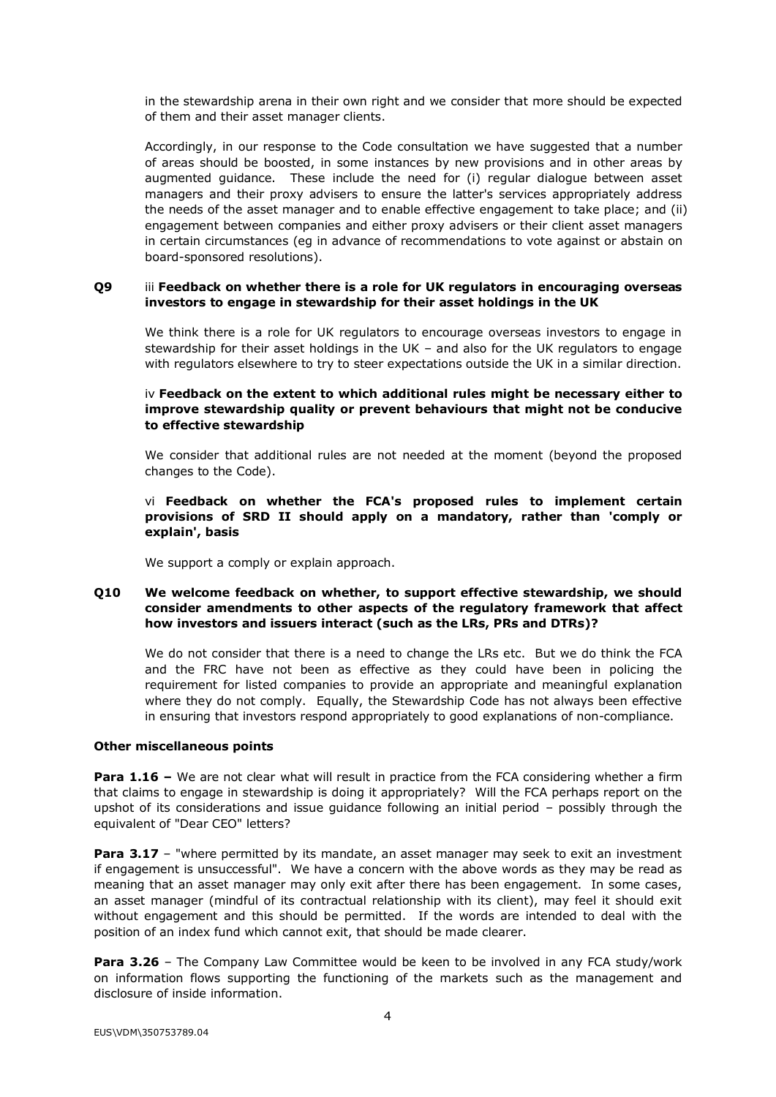in the stewardship arena in their own right and we consider that more should be expected of them and their asset manager clients.

Accordingly, in our response to the Code consultation we have suggested that a number of areas should be boosted, in some instances by new provisions and in other areas by augmented guidance. These include the need for (i) regular dialogue between asset managers and their proxy advisers to ensure the latter's services appropriately address the needs of the asset manager and to enable effective engagement to take place; and (ii) engagement between companies and either proxy advisers or their client asset managers in certain circumstances (eg in advance of recommendations to vote against or abstain on board-sponsored resolutions).

## **Q9** iii **Feedback on whether there is a role for UK regulators in encouraging overseas investors to engage in stewardship for their asset holdings in the UK**

We think there is a role for UK regulators to encourage overseas investors to engage in stewardship for their asset holdings in the UK – and also for the UK regulators to engage with regulators elsewhere to try to steer expectations outside the UK in a similar direction.

# iv **Feedback on the extent to which additional rules might be necessary either to improve stewardship quality or prevent behaviours that might not be conducive to effective stewardship**

We consider that additional rules are not needed at the moment (beyond the proposed changes to the Code).

## vi **Feedback on whether the FCA's proposed rules to implement certain provisions of SRD II should apply on a mandatory, rather than 'comply or explain', basis**

We support a comply or explain approach.

# **Q10 We welcome feedback on whether, to support effective stewardship, we should consider amendments to other aspects of the regulatory framework that affect how investors and issuers interact (such as the LRs, PRs and DTRs)?**

We do not consider that there is a need to change the LRs etc. But we do think the FCA and the FRC have not been as effective as they could have been in policing the requirement for listed companies to provide an appropriate and meaningful explanation where they do not comply. Equally, the Stewardship Code has not always been effective in ensuring that investors respond appropriately to good explanations of non-compliance.

## **Other miscellaneous points**

**Para 1.16** – We are not clear what will result in practice from the FCA considering whether a firm that claims to engage in stewardship is doing it appropriately? Will the FCA perhaps report on the upshot of its considerations and issue guidance following an initial period – possibly through the equivalent of "Dear CEO" letters?

**Para 3.17** – "where permitted by its mandate, an asset manager may seek to exit an investment if engagement is unsuccessful". We have a concern with the above words as they may be read as meaning that an asset manager may only exit after there has been engagement. In some cases, an asset manager (mindful of its contractual relationship with its client), may feel it should exit without engagement and this should be permitted. If the words are intended to deal with the position of an index fund which cannot exit, that should be made clearer.

**Para 3.26** – The Company Law Committee would be keen to be involved in any FCA study/work on information flows supporting the functioning of the markets such as the management and disclosure of inside information.